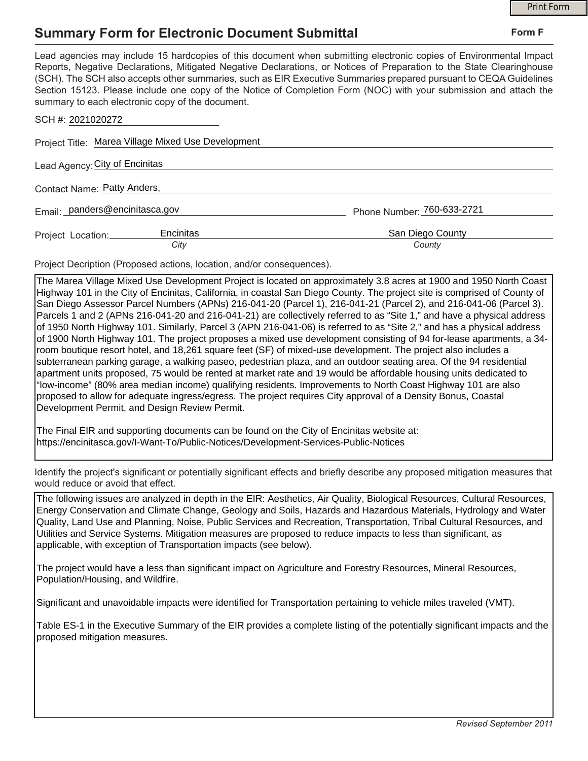## **Summary Form for Electronic Document Submittal**

|                                                                                                                                                                                                                                                                                                                                                                                                                                                                                                                                           |                            | <b>Print Form</b> |
|-------------------------------------------------------------------------------------------------------------------------------------------------------------------------------------------------------------------------------------------------------------------------------------------------------------------------------------------------------------------------------------------------------------------------------------------------------------------------------------------------------------------------------------------|----------------------------|-------------------|
| <b>Summary Form for Electronic Document Submittal</b>                                                                                                                                                                                                                                                                                                                                                                                                                                                                                     |                            | Form F            |
| Lead agencies may include 15 hardcopies of this document when submitting electronic copies of Environmental Impact<br>Reports, Negative Declarations, Mitigated Negative Declarations, or Notices of Preparation to the State Clearinghouse<br>(SCH). The SCH also accepts other summaries, such as EIR Executive Summaries prepared pursuant to CEQA Guidelines<br>Section 15123. Please include one copy of the Notice of Completion Form (NOC) with your submission and attach the<br>summary to each electronic copy of the document. |                            |                   |
| SCH #: 2021020272                                                                                                                                                                                                                                                                                                                                                                                                                                                                                                                         |                            |                   |
| Project Title: Marea Village Mixed Use Development                                                                                                                                                                                                                                                                                                                                                                                                                                                                                        |                            |                   |
| Lead Agency: City of Encinitas                                                                                                                                                                                                                                                                                                                                                                                                                                                                                                            |                            |                   |
| Contact Name: Patty Anders,                                                                                                                                                                                                                                                                                                                                                                                                                                                                                                               |                            |                   |
| Email: panders@encinitasca.gov                                                                                                                                                                                                                                                                                                                                                                                                                                                                                                            | Phone Number: 760-633-2721 |                   |
| Encinitas<br>Project Location:<br>City                                                                                                                                                                                                                                                                                                                                                                                                                                                                                                    | San Diego County<br>County |                   |

Project Decription (Proposed actions, location, and/or consequences).

The Marea Village Mixed Use Development Project is located on approximately 3.8 acres at 1900 and 1950 North Coast Highway 101 in the City of Encinitas, California, in coastal San Diego County. The project site is comprised of County of San Diego Assessor Parcel Numbers (APNs) 216-041-20 (Parcel 1), 216-041-21 (Parcel 2), and 216-041-06 (Parcel 3). Parcels 1 and 2 (APNs 216-041-20 and 216-041-21) are collectively referred to as "Site 1," and have a physical address of 1950 North Highway 101. Similarly, Parcel 3 (APN 216-041-06) is referred to as "Site 2," and has a physical address of 1900 North Highway 101. The project proposes a mixed use development consisting of 94 for-lease apartments, a 34 room boutique resort hotel, and 18,261 square feet (SF) of mixed-use development. The project also includes a subterranean parking garage, a walking paseo, pedestrian plaza, and an outdoor seating area. Of the 94 residential apartment units proposed, 75 would be rented at market rate and 19 would be affordable housing units dedicated to "low-income" (80% area median income) qualifying residents. Improvements to North Coast Highway 101 are also proposed to allow for adequate ingress/egress. The project requires City approval of a Density Bonus, Coastal Development Permit, and Design Review Permit.

The Final EIR and supporting documents can be found on the City of Encinitas website at: https://encinitasca.gov/I-Want-To/Public-Notices/Development-Services-Public-Notices

Identify the project's significant or potentially significant effects and briefly describe any proposed mitigation measures that would reduce or avoid that effect.

The following issues are analyzed in depth in the EIR: Aesthetics, Air Quality, Biological Resources, Cultural Resources, Energy Conservation and Climate Change, Geology and Soils, Hazards and Hazardous Materials, Hydrology and Water Quality, Land Use and Planning, Noise, Public Services and Recreation, Transportation, Tribal Cultural Resources, and Utilities and Service Systems. Mitigation measures are proposed to reduce impacts to less than significant, as applicable, with exception of Transportation impacts (see below).

The project would have a less than significant impact on Agriculture and Forestry Resources, Mineral Resources, Population/Housing, and Wildfire.

Significant and unavoidable impacts were identified for Transportation pertaining to vehicle miles traveled (VMT).

Table ES-1 in the Executive Summary of the EIR provides a complete listing of the potentially significant impacts and the proposed mitigation measures.